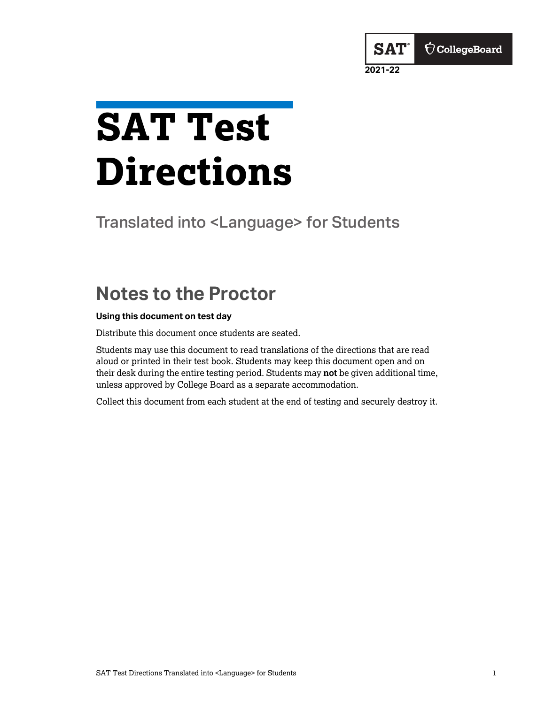# <span id="page-0-0"></span>**SAT Test Directions**

Translated into <Language> for Students

**2021-22**

**SAT** 

 $\bigcirc$  CollegeBoard

# **Notes to the Proctor**

#### **Using this document on test day**

Distribute this document once students are seated.

Students may use this document to read translations of the directions that are read aloud or printed in their test book. Students may keep this document open and on their desk during the entire testing period. Students may **not** be given additional time, unless approved by College Board as a separate accommodation.

Collect this document from each student at the end of testing and securely destroy it.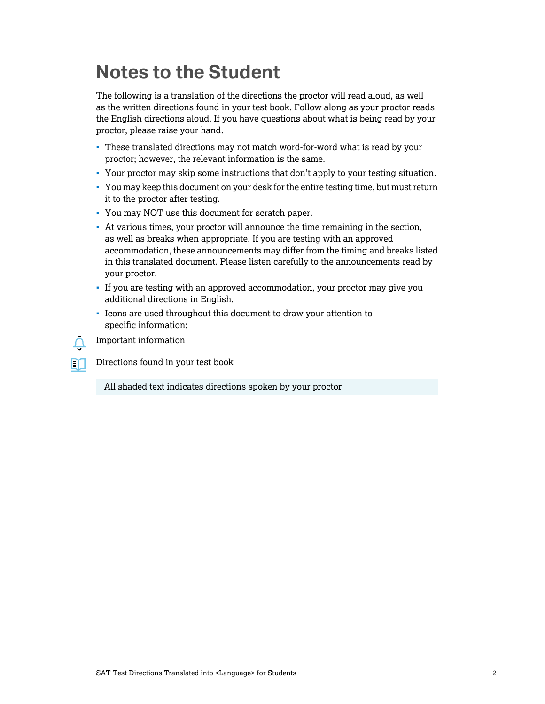# <span id="page-1-0"></span>**Notes to the Student**

The following is a translation of the directions the proctor will read aloud, as well as the written directions found in your test book. Follow along as your proctor reads the English directions aloud. If you have questions about what is being read by your proctor, please raise your hand.

- These translated directions may not match word-for-word what is read by your proctor; however, the relevant information is the same.
- Your proctor may skip some instructions that don't apply to your testing situation.
- You may keep this document on your desk for the entire testing time, but must return it to the proctor after testing.
- You may NOT use this document for scratch paper.
- At various times, your proctor will announce the time remaining in the section, as well as breaks when appropriate. If you are testing with an approved accommodation, these announcements may differ from the timing and breaks listed in this translated document. Please listen carefully to the announcements read by your proctor.
- If you are testing with an approved accommodation, your proctor may give you additional directions in English.
- Icons are used throughout this document to draw your attention to specific information:



M

Important information

Directions found in your test book

All shaded text indicates directions spoken by your proctor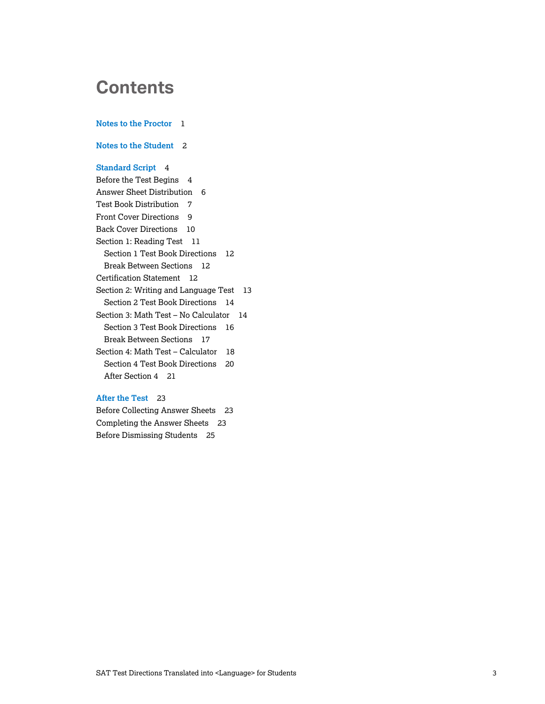# **Contents**

**[Notes to the Proctor](#page-0-0)** 1 **[Notes to the Student](#page-1-0)** 2 **[Standard Script](#page-3-0)** 4 [Before the Test Begins](#page-3-0) 4 [Answer Sheet Distribution](#page-5-0) 6 [Test Book Distribution](#page-6-0) 7 [Front Cover Directions](#page-8-0) 9 [Back Cover Directions](#page-9-0) 10 [Section 1: Reading Test](#page-10-0) 11 [Section 1 Test Book Directions](#page-11-0) 12 [Break Between Sections](#page-11-0) 12 [Certification Statement](#page-11-0) 12 [Section 2: Writing and Language Test](#page-12-0) 13 [Section 2 Test Book Directions](#page-13-0) 14 [Section 3: Math Test – No Calculator](#page-13-0) 14 [Section 3 Test Book Directions](#page-15-0) 16 [Break Between Sections](#page-16-0) 17 [Section 4: Math Test – Calculator](#page-17-0) 18 [Section 4 Test Book Directions](#page-19-0) 20 [After Section 4](#page-20-0) 21

#### **[After the Test](#page-22-0)** 23

[Before Collecting Answer Sheets](#page-22-0) 23 [Completing the Answer Sheets](#page-22-0) 23 [Before Dismissing Students](#page-24-0) 25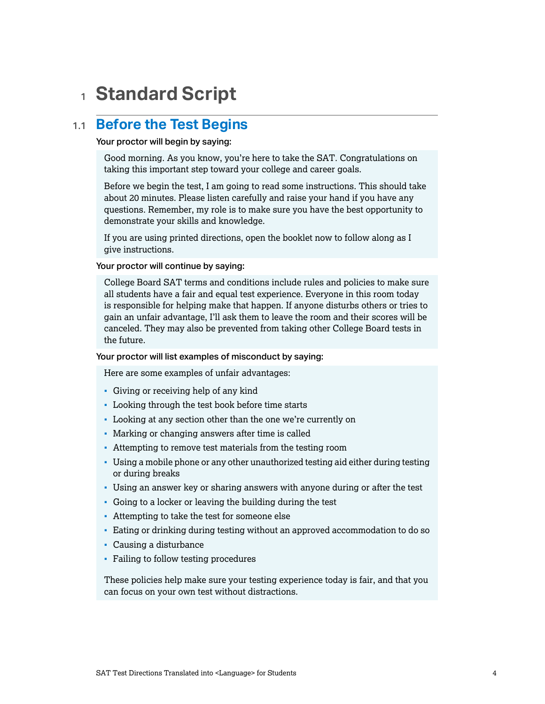# <span id="page-3-0"></span><sup>1</sup> **Standard Script**

# 1.1 **Before the Test Begins**

#### Your proctor will begin by saying:

Good morning. As you know, you're here to take the SAT. Congratulations on taking this important step toward your college and career goals.

Before we begin the test, I am going to read some instructions. This should take about 20 minutes. Please listen carefully and raise your hand if you have any questions. Remember, my role is to make sure you have the best opportunity to demonstrate your skills and knowledge.

If you are using printed directions, open the booklet now to follow along as I give instructions.

#### Your proctor will continue by saying:

College Board SAT terms and conditions include rules and policies to make sure all students have a fair and equal test experience. Everyone in this room today is responsible for helping make that happen. If anyone disturbs others or tries to gain an unfair advantage, I'll ask them to leave the room and their scores will be canceled. They may also be prevented from taking other College Board tests in the future.

#### Your proctor will list examples of misconduct by saying:

Here are some examples of unfair advantages:

- Giving or receiving help of any kind
- Looking through the test book before time starts
- Looking at any section other than the one we're currently on
- Marking or changing answers after time is called
- Attempting to remove test materials from the testing room
- Using a mobile phone or any other unauthorized testing aid either during testing or during breaks
- Using an answer key or sharing answers with anyone during or after the test
- Going to a locker or leaving the building during the test
- Attempting to take the test for someone else
- Eating or drinking during testing without an approved accommodation to do so
- Causing a disturbance
- Failing to follow testing procedures

These policies help make sure your testing experience today is fair, and that you can focus on your own test without distractions.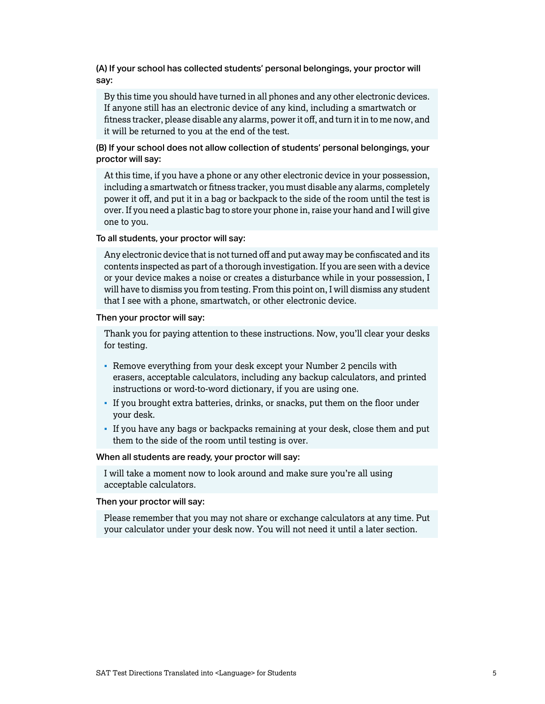(A) If your school has collected students' personal belongings, your proctor will say:

By this time you should have turned in all phones and any other electronic devices. If anyone still has an electronic device of any kind, including a smartwatch or fitness tracker, please disable any alarms, power it off, and turn it in to me now, and it will be returned to you at the end of the test.

(B) If your school does not allow collection of students' personal belongings, your proctor will say:

At this time, if you have a phone or any other electronic device in your possession, including a smartwatch or fitness tracker, you must disable any alarms, completely power it off, and put it in a bag or backpack to the side of the room until the test is over. If you need a plastic bag to store your phone in, raise your hand and I will give one to you.

To all students, your proctor will say:

Any electronic device that is not turned off and put away may be confiscated and its contents inspected as part of a thorough investigation. If you are seen with a device or your device makes a noise or creates a disturbance while in your possession, I will have to dismiss you from testing. From this point on, I will dismiss any student that I see with a phone, smartwatch, or other electronic device.

Then your proctor will say:

Thank you for paying attention to these instructions. Now, you'll clear your desks for testing.

- Remove everything from your desk except your Number 2 pencils with erasers, acceptable calculators, including any backup calculators, and printed instructions or word-to-word dictionary, if you are using one.
- If you brought extra batteries, drinks, or snacks, put them on the floor under your desk.
- If you have any bags or backpacks remaining at your desk, close them and put them to the side of the room until testing is over.

When all students are ready, your proctor will say:

I will take a moment now to look around and make sure you're all using acceptable calculators.

Then your proctor will say:

Please remember that you may not share or exchange calculators at any time. Put your calculator under your desk now. You will not need it until a later section.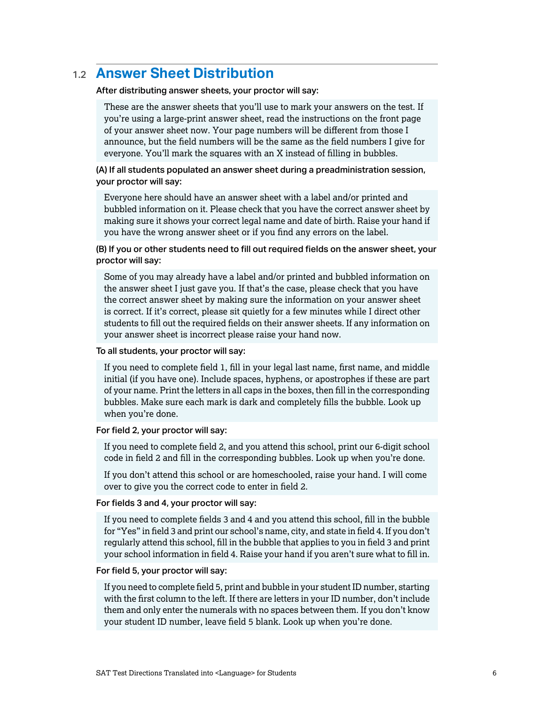# <span id="page-5-0"></span>1.2 **Answer Sheet Distribution**

After distributing answer sheets, your proctor will say:

These are the answer sheets that you'll use to mark your answers on the test. If you're using a large-print answer sheet, read the instructions on the front page of your answer sheet now. Your page numbers will be different from those I announce, but the field numbers will be the same as the field numbers I give for everyone. You'll mark the squares with an X instead of filling in bubbles.

#### (A) If all students populated an answer sheet during a preadministration session, your proctor will say:

Everyone here should have an answer sheet with a label and/or printed and bubbled information on it. Please check that you have the correct answer sheet by making sure it shows your correct legal name and date of birth. Raise your hand if you have the wrong answer sheet or if you find any errors on the label.

(B) If you or other students need to fill out required fields on the answer sheet, your proctor will say:

Some of you may already have a label and/or printed and bubbled information on the answer sheet I just gave you. If that's the case, please check that you have the correct answer sheet by making sure the information on your answer sheet is correct. If it's correct, please sit quietly for a few minutes while I direct other students to fill out the required fields on their answer sheets. If any information on your answer sheet is incorrect please raise your hand now.

#### To all students, your proctor will say:

If you need to complete field 1, fill in your legal last name, first name, and middle initial (if you have one). Include spaces, hyphens, or apostrophes if these are part of your name. Print the letters in all caps in the boxes, then fill in the corresponding bubbles. Make sure each mark is dark and completely fills the bubble. Look up when you're done.

#### For field 2, your proctor will say:

If you need to complete field 2, and you attend this school, print our 6-digit school code in field 2 and fill in the corresponding bubbles. Look up when you're done.

If you don't attend this school or are homeschooled, raise your hand. I will come over to give you the correct code to enter in field 2.

#### For fields 3 and 4, your proctor will say:

If you need to complete fields 3 and 4 and you attend this school, fill in the bubble for "Yes" in field 3 and print our school's name, city, and state in field 4. If you don't regularly attend this school, fill in the bubble that applies to you in field 3 and print your school information in field 4. Raise your hand if you aren't sure what to fill in.

#### For field 5, your proctor will say:

If you need to complete field 5, print and bubble in your student ID number, starting with the first column to the left. If there are letters in your ID number, don't include them and only enter the numerals with no spaces between them. If you don't know your student ID number, leave field 5 blank. Look up when you're done.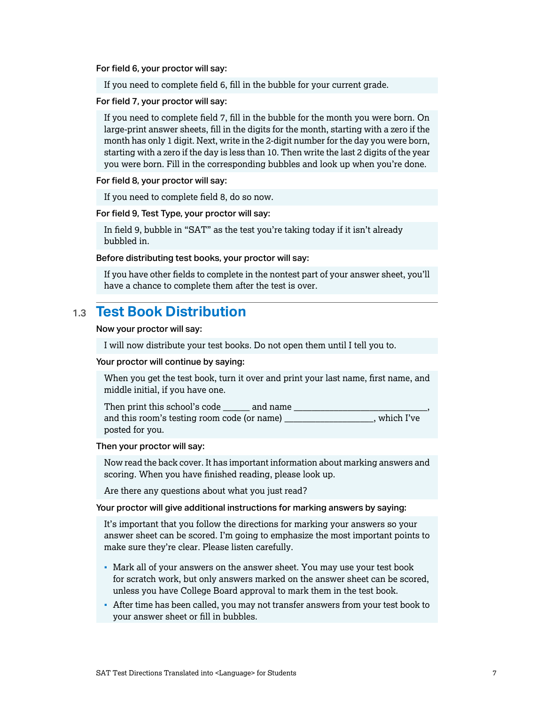<span id="page-6-0"></span>For field 6, your proctor will say:

If you need to complete field 6, fill in the bubble for your current grade.

For field 7, your proctor will say:

If you need to complete field 7, fill in the bubble for the month you were born. On large-print answer sheets, fill in the digits for the month, starting with a zero if the month has only 1 digit. Next, write in the 2-digit number for the day you were born, starting with a zero if the day is less than 10. Then write the last 2 digits of the year you were born. Fill in the corresponding bubbles and look up when you're done.

For field 8, your proctor will say:

If you need to complete field 8, do so now.

For field 9, Test Type, your proctor will say:

In field 9, bubble in "SAT" as the test you're taking today if it isn't already bubbled in.

Before distributing test books, your proctor will say:

If you have other fields to complete in the nontest part of your answer sheet, you'll have a chance to complete them after the test is over.

### 1.3 **Test Book Distribution**

Now your proctor will say:

I will now distribute your test books. Do not open them until I tell you to.

#### Your proctor will continue by saying:

When you get the test book, turn it over and print your last name, first name, and middle initial, if you have one.

Then print this school's code \_\_\_\_\_\_\_\_\_ and name and this room's testing room code (or name) which I've posted for you.

#### Then your proctor will say:

Now read the back cover. It has important information about marking answers and scoring. When you have finished reading, please look up.

Are there any questions about what you just read?

Your proctor will give additional instructions for marking answers by saying:

It's important that you follow the directions for marking your answers so your answer sheet can be scored. I'm going to emphasize the most important points to make sure they're clear. Please listen carefully.

- Mark all of your answers on the answer sheet. You may use your test book for scratch work, but only answers marked on the answer sheet can be scored, unless you have College Board approval to mark them in the test book.
- After time has been called, you may not transfer answers from your test book to your answer sheet or fill in bubbles.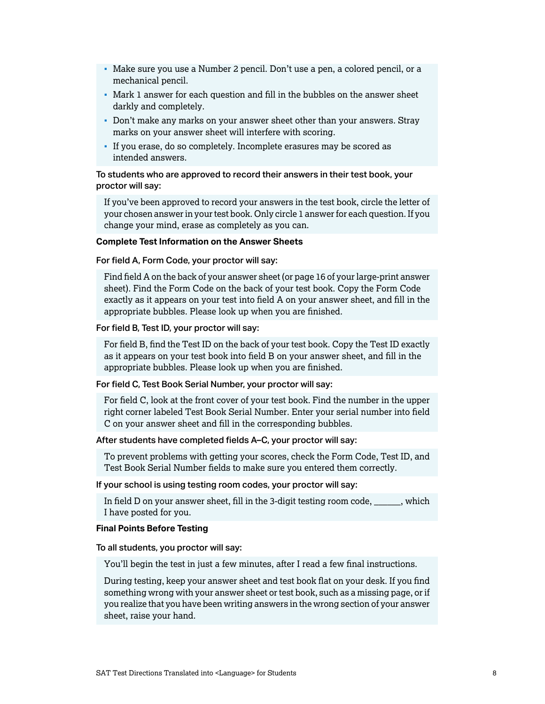- Make sure you use a Number 2 pencil. Don't use a pen, a colored pencil, or a mechanical pencil.
- Mark 1 answer for each question and fill in the bubbles on the answer sheet darkly and completely.
- Don't make any marks on your answer sheet other than your answers. Stray marks on your answer sheet will interfere with scoring.
- If you erase, do so completely. Incomplete erasures may be scored as intended answers.

#### To students who are approved to record their answers in their test book, your proctor will say:

If you've been approved to record your answers in the test book, circle the letter of your chosen answer in your test book. Only circle 1 answer for each question. If you change your mind, erase as completely as you can.

#### **Complete Test Information on the Answer Sheets**

For field A, Form Code, your proctor will say:

Find field A on the back of your answer sheet (or page 16 of your large-print answer sheet). Find the Form Code on the back of your test book. Copy the Form Code exactly as it appears on your test into field A on your answer sheet, and fill in the appropriate bubbles. Please look up when you are finished.

#### For field B, Test ID, your proctor will say:

For field B, find the Test ID on the back of your test book. Copy the Test ID exactly as it appears on your test book into field B on your answer sheet, and fill in the appropriate bubbles. Please look up when you are finished.

#### For field C, Test Book Serial Number, your proctor will say:

For field C, look at the front cover of your test book. Find the number in the upper right corner labeled Test Book Serial Number. Enter your serial number into field C on your answer sheet and fill in the corresponding bubbles.

#### After students have completed fields A–C, your proctor will say:

To prevent problems with getting your scores, check the Form Code, Test ID, and Test Book Serial Number fields to make sure you entered them correctly.

If your school is using testing room codes, your proctor will say:

In field D on your answer sheet, fill in the 3-digit testing room code, \_\_\_\_\_\_, which I have posted for you.

#### **Final Points Before Testing**

To all students, you proctor will say:

You'll begin the test in just a few minutes, after I read a few final instructions.

During testing, keep your answer sheet and test book flat on your desk. If you find something wrong with your answer sheet or test book, such as a missing page, or if you realize that you have been writing answers in the wrong section of your answer sheet, raise your hand.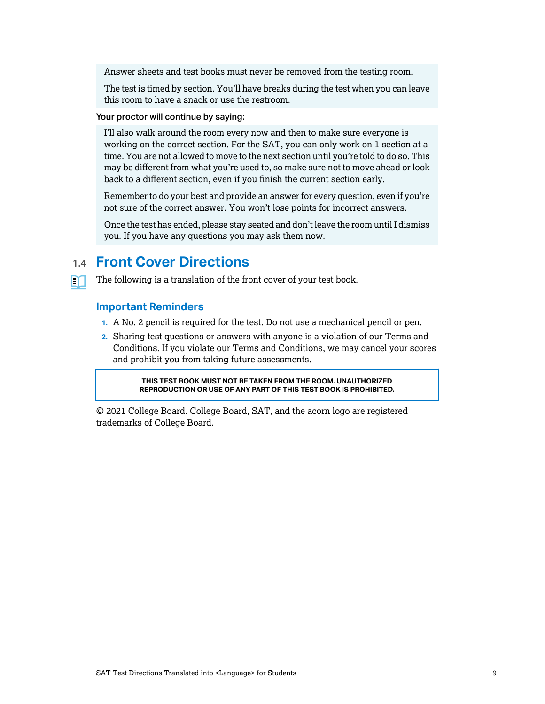<span id="page-8-0"></span>Answer sheets and test books must never be removed from the testing room.

The test is timed by section. You'll have breaks during the test when you can leave this room to have a snack or use the restroom.

#### Your proctor will continue by saying:

I'll also walk around the room every now and then to make sure everyone is working on the correct section. For the SAT, you can only work on 1 section at a time. You are not allowed to move to the next section until you're told to do so. This may be different from what you're used to, so make sure not to move ahead or look back to a different section, even if you finish the current section early.

Remember to do your best and provide an answer for every question, even if you're not sure of the correct answer. You won't lose points for incorrect answers.

Once the test has ended, please stay seated and don't leave the room until I dismiss you. If you have any questions you may ask them now.

# 1.4 **Front Cover Directions**

The following is a translation of the front cover of your test book.

#### **Important Reminders**

M

- **1.** A No. 2 pencil is required for the test. Do not use a mechanical pencil or pen.
- **2.** Sharing test questions or answers with anyone is a violation of our Terms and Conditions. If you violate our Terms and Conditions, we may cancel your scores and prohibit you from taking future assessments.

**THIS TEST BOOK MUST NOT BE TAKEN FROM THE ROOM. UNAUTHORIZED REPRODUCTION OR USE OF ANY PART OF THIS TEST BOOK IS PROHIBITED.**

© 2021 College Board. College Board, SAT, and the acorn logo are registered trademarks of College Board.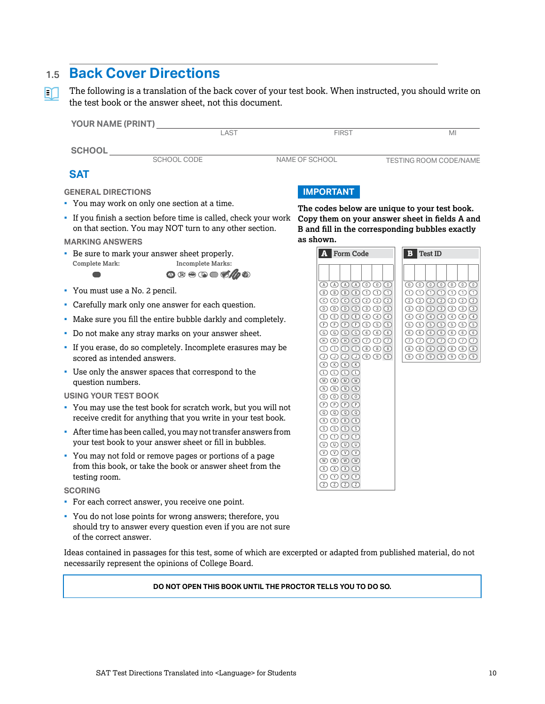# <span id="page-9-0"></span>1.5 **Back Cover Directions**

The following is a translation of the back cover of your test book. When instructed, you should write on  $\Box$ the test book or the answer sheet, not this document.

| YOUR NAME (PRINT)                                                                                                           | LAST                                                                                                                                                                      | <b>FIRST</b>                                                                                                                                                                                                                                                                                                                                                                                                                                                                                                                                                                                                                                                                                                                                                                                                                                                                                                              | MI                                                                                                                                                                                                                                                                                                                                                                                                                                                                                                                                                                                               |
|-----------------------------------------------------------------------------------------------------------------------------|---------------------------------------------------------------------------------------------------------------------------------------------------------------------------|---------------------------------------------------------------------------------------------------------------------------------------------------------------------------------------------------------------------------------------------------------------------------------------------------------------------------------------------------------------------------------------------------------------------------------------------------------------------------------------------------------------------------------------------------------------------------------------------------------------------------------------------------------------------------------------------------------------------------------------------------------------------------------------------------------------------------------------------------------------------------------------------------------------------------|--------------------------------------------------------------------------------------------------------------------------------------------------------------------------------------------------------------------------------------------------------------------------------------------------------------------------------------------------------------------------------------------------------------------------------------------------------------------------------------------------------------------------------------------------------------------------------------------------|
| <b>SCHOOL</b>                                                                                                               |                                                                                                                                                                           |                                                                                                                                                                                                                                                                                                                                                                                                                                                                                                                                                                                                                                                                                                                                                                                                                                                                                                                           |                                                                                                                                                                                                                                                                                                                                                                                                                                                                                                                                                                                                  |
|                                                                                                                             | SCHOOL CODE                                                                                                                                                               | NAME OF SCHOOL                                                                                                                                                                                                                                                                                                                                                                                                                                                                                                                                                                                                                                                                                                                                                                                                                                                                                                            | <b>TESTING ROOM CODE/NAME</b>                                                                                                                                                                                                                                                                                                                                                                                                                                                                                                                                                                    |
| <b>SAT</b>                                                                                                                  |                                                                                                                                                                           |                                                                                                                                                                                                                                                                                                                                                                                                                                                                                                                                                                                                                                                                                                                                                                                                                                                                                                                           |                                                                                                                                                                                                                                                                                                                                                                                                                                                                                                                                                                                                  |
| <b>GENERAL DIRECTIONS</b>                                                                                                   |                                                                                                                                                                           | <b>IMPORTANT</b>                                                                                                                                                                                                                                                                                                                                                                                                                                                                                                                                                                                                                                                                                                                                                                                                                                                                                                          |                                                                                                                                                                                                                                                                                                                                                                                                                                                                                                                                                                                                  |
| • You may work on only one section at a time.                                                                               |                                                                                                                                                                           | The codes below are unique to your test book.                                                                                                                                                                                                                                                                                                                                                                                                                                                                                                                                                                                                                                                                                                                                                                                                                                                                             |                                                                                                                                                                                                                                                                                                                                                                                                                                                                                                                                                                                                  |
| • If you finish a section before time is called, check your work<br>on that section. You may NOT turn to any other section. |                                                                                                                                                                           | Copy them on your answer sheet in fields A and<br>B and fill in the corresponding bubbles exactly                                                                                                                                                                                                                                                                                                                                                                                                                                                                                                                                                                                                                                                                                                                                                                                                                         |                                                                                                                                                                                                                                                                                                                                                                                                                                                                                                                                                                                                  |
| <b>MARKING ANSWERS</b>                                                                                                      |                                                                                                                                                                           | as shown.                                                                                                                                                                                                                                                                                                                                                                                                                                                                                                                                                                                                                                                                                                                                                                                                                                                                                                                 |                                                                                                                                                                                                                                                                                                                                                                                                                                                                                                                                                                                                  |
| <b>Complete Mark:</b>                                                                                                       | • Be sure to mark your answer sheet properly.<br><b>Incomplete Marks:</b>                                                                                                 | <b>A</b> Form Code                                                                                                                                                                                                                                                                                                                                                                                                                                                                                                                                                                                                                                                                                                                                                                                                                                                                                                        | <b>B</b> Test ID                                                                                                                                                                                                                                                                                                                                                                                                                                                                                                                                                                                 |
|                                                                                                                             |                                                                                                                                                                           |                                                                                                                                                                                                                                                                                                                                                                                                                                                                                                                                                                                                                                                                                                                                                                                                                                                                                                                           |                                                                                                                                                                                                                                                                                                                                                                                                                                                                                                                                                                                                  |
| • You must use a No. 2 pencil.                                                                                              |                                                                                                                                                                           | $\textcircled{A} \textcircled{A} \textcircled{A} \textcircled{A} \textcircled{A} \textcircled{0} \textcircled{0}$<br>$\circledR \circledR \circledR \circledR \circledR \circledR \circledR$                                                                                                                                                                                                                                                                                                                                                                                                                                                                                                                                                                                                                                                                                                                              | $\begin{picture}(150,10) \put(0,0){\line(1,0){10}} \put(15,0){\line(1,0){10}} \put(15,0){\line(1,0){10}} \put(15,0){\line(1,0){10}} \put(15,0){\line(1,0){10}} \put(15,0){\line(1,0){10}} \put(15,0){\line(1,0){10}} \put(15,0){\line(1,0){10}} \put(15,0){\line(1,0){10}} \put(15,0){\line(1,0){10}} \put(15,0){\line(1,0){10}} \put(15,0){\line($<br>$\begin{array}{l} \bigcirc \mathbb{O} \oplus \mathbb{O} \oplus \mathbb{O} \oplus \mathbb{O} \end{array}$                                                                                                                                  |
| • Carefully mark only one answer for each question.                                                                         |                                                                                                                                                                           | $\begin{tabular}{c} $\circled{0}$ & $\circled{0}$ & $\circled{0}$ & $\circled{0}$ & $\circled{0}$ \\ \hline \end{tabular}$<br>$\begin{array}{c}\n\textcircled{1} & \textcircled{1} & \textcircled{1} & \textcircled{3} & \textcircled{3} & \textcircled{3}\n\end{array}$                                                                                                                                                                                                                                                                                                                                                                                                                                                                                                                                                                                                                                                  | $(2) (2) (2) (2) (2) (2) (2)$<br>$\textcircled{\scriptsize{3}}$ $\textcircled{\scriptsize{3}}$ $\textcircled{\scriptsize{3}}$                                                                                                                                                                                                                                                                                                                                                                                                                                                                    |
| • Make sure you fill the entire bubble darkly and completely.                                                               |                                                                                                                                                                           | $\textcircled{\small{1}}\textcircled{\small{1}}\textcircled{\small{1}}\textcircled{\small{1}}\textcircled{\small{1}}\textcircled{\small{1}}\textcircled{\small{1}}\textcircled{\small{1}}$<br>$\begin{tabular}{l} \hline \textbf{F} & \textbf{F} & \textbf{F} & \textbf{F} & \textbf{F} \\ \hline \end{tabular}$                                                                                                                                                                                                                                                                                                                                                                                                                                                                                                                                                                                                          | $(4)$ $(4)$ $(4)$ $(4)$ $(4)$ $(4)$ $(4)$<br>$\begin{array}{c} \textcircled{\small{1}}\\ \textcircled{\small{1}}\\ \textcircled{\small{2}} \end{array} \begin{array}{c} \textcircled{\small{1}}\\ \textcircled{\small{3}}\\ \textcircled{\small{4}} \end{array} \begin{array}{c} \textcircled{\small{1}}\\ \textcircled{\small{3}}\\ \textcircled{\small{4}} \end{array} \begin{array}{c} \textcircled{\small{1}}\\ \textcircled{\small{3}}\\ \textcircled{\small{4}} \end{array}$                                                                                                               |
| • Do not make any stray marks on your answer sheet.                                                                         |                                                                                                                                                                           |                                                                                                                                                                                                                                                                                                                                                                                                                                                                                                                                                                                                                                                                                                                                                                                                                                                                                                                           | $\begin{array}{c} \textcircled{\footnotesize{6}} \end{array} \begin{array}{c} \textcircled{\footnotesize{6}} \end{array} \begin{array}{c} \textcircled{\footnotesize{6}} \end{array} \begin{array}{c} \textcircled{\footnotesize{6}} \end{array} \begin{array}{c} \textcircled{\footnotesize{6}} \end{array} \begin{array}{c} \textcircled{\footnotesize{6}} \end{array}$                                                                                                                                                                                                                        |
| - If you erase, do so completely. Incomplete erasures may be<br>scored as intended answers.                                 |                                                                                                                                                                           | $\textcircled{\tiny{\textcircled{\tiny{H}}}} \oplus \textcircled{\tiny{\textcircled{\tiny{H}}}} \oplus \textcircled{\tiny{\textcircled{\tiny{I}}}} \oplus \textcircled{\tiny{\textcircled{\tiny{I}}}}$<br>$\begin{tabular}{l} $\circledcirc$ \end{tabular} \begin{tabular}{l} \hline $\circledcirc$ \end{tabular} \begin{tabular}{l} \hline $\circledcirc$ \end{tabular} \begin{tabular}{l} \hline $\circledcirc$ \end{tabular} \end{tabular} \begin{tabular}{l} \hline $\circledcirc$ \end{tabular} \begin{tabular}{l} \hline $\circledcirc$ \end{tabular} \end{tabular} \begin{tabular}{l} \hline $\circledcirc$ \end{tabular} \begin{tabular}{l} \hline $\circledcirc$ \end{tabular} \end{tabular} \begin{tabular}{l} \hline $\circledcirc$ \end{tabular} \begin{tabular}{l$<br>$\begin{array}{c} \circledcirc \circledcirc \circledcirc \circledcirc \circledcirc \circledcirc \circledcirc \circledcirc \end{array}$ | $\begin{picture}(5,20) \put(0,0){\line(1,0){10}} \put(15,0){\line(1,0){10}} \put(15,0){\line(1,0){10}} \put(15,0){\line(1,0){10}} \put(15,0){\line(1,0){10}} \put(15,0){\line(1,0){10}} \put(15,0){\line(1,0){10}} \put(15,0){\line(1,0){10}} \put(15,0){\line(1,0){10}} \put(15,0){\line(1,0){10}} \put(15,0){\line(1,0){10}} \put(15,0){\line(1,$<br>$\textcircled{\scriptsize{1}} \textcircled{\scriptsize{1}} \textcircled{\scriptsize{1}} \textcircled{\scriptsize{1}} \textcircled{\scriptsize{1}} \textcircled{\scriptsize{1}} \textcircled{\scriptsize{1}} \textcircled{\scriptsize{1}}$ |
| question numbers.                                                                                                           | • Use only the answer spaces that correspond to the                                                                                                                       | $\textcircled{\tiny{R}}\textcircled{\tiny{R}}\textcircled{\tiny{R}}\textcircled{\tiny{R}}$<br>$\textcircled{1}\oplus \textcircled{1}$<br>$\textcircled{m}\textcircled{m}\textcircled{m}$                                                                                                                                                                                                                                                                                                                                                                                                                                                                                                                                                                                                                                                                                                                                  |                                                                                                                                                                                                                                                                                                                                                                                                                                                                                                                                                                                                  |
| <b>USING YOUR TEST BOOK</b>                                                                                                 |                                                                                                                                                                           | $\textcircled{r} \textcircled{r} \textcircled{r}$<br>$\circledcirc \circledcirc \circledcirc$                                                                                                                                                                                                                                                                                                                                                                                                                                                                                                                                                                                                                                                                                                                                                                                                                             |                                                                                                                                                                                                                                                                                                                                                                                                                                                                                                                                                                                                  |
|                                                                                                                             | • You may use the test book for scratch work, but you will not<br>receive credit for anything that you write in your test book.                                           | $\mathbb{P} \mathbb{P} \mathbb{P} \mathbb{P}$<br>$\circledcirc \circledcirc \circledcirc$<br>$\textcircled{R} \textcircled{R} \textcircled{R}$                                                                                                                                                                                                                                                                                                                                                                                                                                                                                                                                                                                                                                                                                                                                                                            |                                                                                                                                                                                                                                                                                                                                                                                                                                                                                                                                                                                                  |
|                                                                                                                             | • After time has been called, you may not transfer answers from<br>your test book to your answer sheet or fill in bubbles.                                                | $\circled{S} \circled{S} \circled{S}$<br>$(D \cap D)$<br>$\circledcirc \circledcirc \circledcirc$                                                                                                                                                                                                                                                                                                                                                                                                                                                                                                                                                                                                                                                                                                                                                                                                                         |                                                                                                                                                                                                                                                                                                                                                                                                                                                                                                                                                                                                  |
| testing room.                                                                                                               | • You may not fold or remove pages or portions of a page<br>from this book, or take the book or answer sheet from the                                                     | $\begin{array}{c} \circledR\circledR\circledR\circledR\circledR\end{array}$<br>$(\mathbb{W})$ $(\mathbb{W})$ $(\mathbb{W})$ $(\mathbb{W})$<br>$\circledR \circledR \circledR$                                                                                                                                                                                                                                                                                                                                                                                                                                                                                                                                                                                                                                                                                                                                             |                                                                                                                                                                                                                                                                                                                                                                                                                                                                                                                                                                                                  |
| <b>SCORING</b>                                                                                                              |                                                                                                                                                                           | $\begin{array}{ccc}\n\textcircled{1} & \textcircled{2} & \textcircled{1} & \textcircled{3}\n\end{array}$                                                                                                                                                                                                                                                                                                                                                                                                                                                                                                                                                                                                                                                                                                                                                                                                                  |                                                                                                                                                                                                                                                                                                                                                                                                                                                                                                                                                                                                  |
|                                                                                                                             | • For each correct answer, you receive one point.                                                                                                                         |                                                                                                                                                                                                                                                                                                                                                                                                                                                                                                                                                                                                                                                                                                                                                                                                                                                                                                                           |                                                                                                                                                                                                                                                                                                                                                                                                                                                                                                                                                                                                  |
| of the correct answer.                                                                                                      | • You do not lose points for wrong answers; therefore, you<br>should try to answer every question even if you are not sure                                                |                                                                                                                                                                                                                                                                                                                                                                                                                                                                                                                                                                                                                                                                                                                                                                                                                                                                                                                           |                                                                                                                                                                                                                                                                                                                                                                                                                                                                                                                                                                                                  |
|                                                                                                                             | Ideas contained in passages for this test, some of which are excerpted or adapted from published material, do not<br>necessarily represent the opinions of College Board. |                                                                                                                                                                                                                                                                                                                                                                                                                                                                                                                                                                                                                                                                                                                                                                                                                                                                                                                           |                                                                                                                                                                                                                                                                                                                                                                                                                                                                                                                                                                                                  |

#### **DO NOT OPEN THIS BOOK UNTIL THE PROCTOR TELLS YOU TO DO SO.**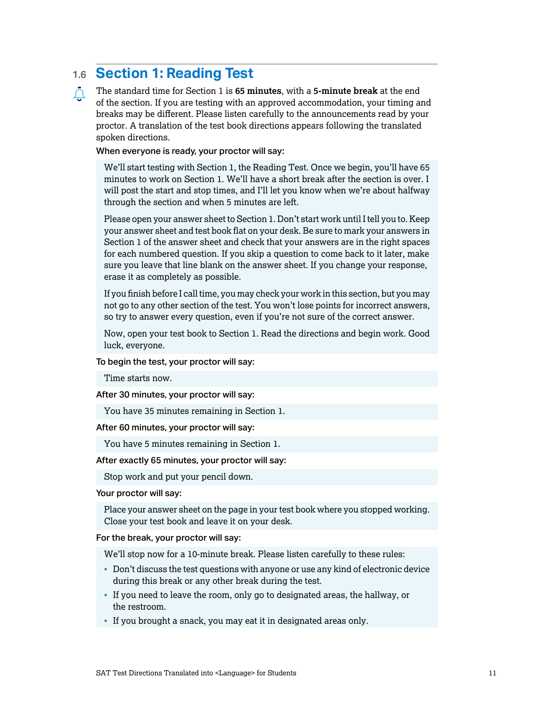# <span id="page-10-0"></span>1.6 **Section 1: Reading Test**

The standard time for Section 1 is **65 minutes**, with a **5-minute break** at the end  $\Delta$ of the section. If you are testing with an approved accommodation, your timing and breaks may be different. Please listen carefully to the announcements read by your proctor. A translation of the test book directions appears following the translated spoken directions.

#### When everyone is ready, your proctor will say:

We'll start testing with Section 1, the Reading Test. Once we begin, you'll have 65 minutes to work on Section 1. We'll have a short break after the section is over. I will post the start and stop times, and I'll let you know when we're about halfway through the section and when 5 minutes are left.

Please open your answer sheet to Section 1. Don't start work until I tell you to. Keep your answer sheet and test book flat on your desk. Be sure to mark your answers in Section 1 of the answer sheet and check that your answers are in the right spaces for each numbered question. If you skip a question to come back to it later, make sure you leave that line blank on the answer sheet. If you change your response, erase it as completely as possible.

If you finish before I call time, you may check your work in this section, but you may not go to any other section of the test. You won't lose points for incorrect answers, so try to answer every question, even if you're not sure of the correct answer.

Now, open your test book to Section 1. Read the directions and begin work. Good luck, everyone.

To begin the test, your proctor will say:

Time starts now.

After 30 minutes, your proctor will say:

You have 35 minutes remaining in Section 1.

After 60 minutes, your proctor will say:

You have 5 minutes remaining in Section 1.

After exactly 65 minutes, your proctor will say:

Stop work and put your pencil down.

#### Your proctor will say:

Place your answer sheet on the page in your test book where you stopped working. Close your test book and leave it on your desk.

For the break, your proctor will say:

We'll stop now for a 10-minute break. Please listen carefully to these rules:

- Don't discuss the test questions with anyone or use any kind of electronic device during this break or any other break during the test.
- If you need to leave the room, only go to designated areas, the hallway, or the restroom.
- If you brought a snack, you may eat it in designated areas only.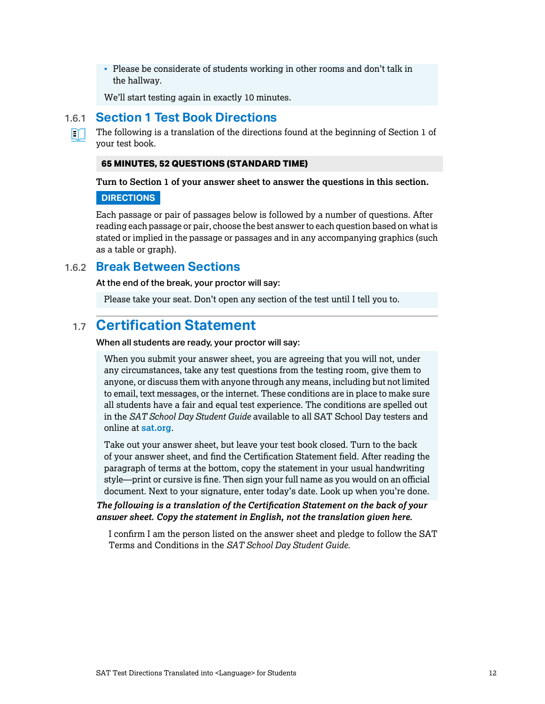<span id="page-11-0"></span>▪ Please be considerate of students working in other rooms and don't talk in the hallway.

We'll start testing again in exactly 10 minutes.

#### 1.6.1 **Section 1 Test Book Directions**

The following is a translation of the directions found at the beginning of Section 1 of your test book.

#### **65 MINUTES, 52 QUESTIONS (STANDARD TIME)**

**Turn to Section 1 of your answer sheet to answer the questions in this section.**

#### **DIRECTIONS**

M

Each passage or pair of passages below is followed by a number of questions. After reading each passage or pair, choose the best answer to each question based on what is stated or implied in the passage or passages and in any accompanying graphics (such as a table or graph).

#### 1.6.2 **Break Between Sections**

At the end of the break, your proctor will say:

Please take your seat. Don't open any section of the test until I tell you to.

# 1.7 **Certification Statement**

When all students are ready, your proctor will say:

When you submit your answer sheet, you are agreeing that you will not, under any circumstances, take any test questions from the testing room, give them to anyone, or discuss them with anyone through any means, including but not limited to email, text messages, or the internet. These conditions are in place to make sure all students have a fair and equal test experience. The conditions are spelled out in the *SAT School Day Student Guide* available to all SAT School Day testers and online at **[sat.org](http://sat.org)**.

Take out your answer sheet, but leave your test book closed. Turn to the back of your answer sheet, and find the Certification Statement field. After reading the paragraph of terms at the bottom, copy the statement in your usual handwriting style—print or cursive is fine. Then sign your full name as you would on an official document. Next to your signature, enter today's date. Look up when you're done.

*The following is a translation of the Certification Statement on the back of your answer sheet. Copy the statement in English, not the translation given here.*

I confirm I am the person listed on the answer sheet and pledge to follow the SAT Terms and Conditions in the *SAT School Day Student Guide*.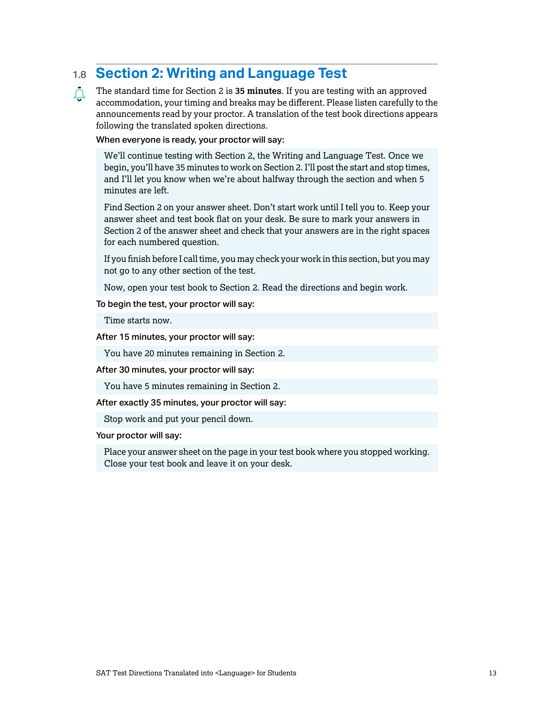# <span id="page-12-0"></span>1.8 **Section 2: Writing and Language Test**

The standard time for Section 2 is **35 minutes**. If you are testing with an approved  $\Delta$ accommodation, your timing and breaks may be different. Please listen carefully to the announcements read by your proctor. A translation of the test book directions appears following the translated spoken directions.

When everyone is ready, your proctor will say:

We'll continue testing with Section 2, the Writing and Language Test. Once we begin, you'll have 35 minutes to work on Section 2. I'll post the start and stop times, and I'll let you know when we're about halfway through the section and when 5 minutes are left.

Find Section 2 on your answer sheet. Don't start work until I tell you to. Keep your answer sheet and test book flat on your desk. Be sure to mark your answers in Section 2 of the answer sheet and check that your answers are in the right spaces for each numbered question.

If you finish before I call time, you may check your work in this section, but you may not go to any other section of the test.

Now, open your test book to Section 2. Read the directions and begin work.

#### To begin the test, your proctor will say:

Time starts now.

After 15 minutes, your proctor will say:

You have 20 minutes remaining in Section 2.

After 30 minutes, your proctor will say:

You have 5 minutes remaining in Section 2.

After exactly 35 minutes, your proctor will say:

Stop work and put your pencil down.

Your proctor will say:

Place your answer sheet on the page in your test book where you stopped working. Close your test book and leave it on your desk.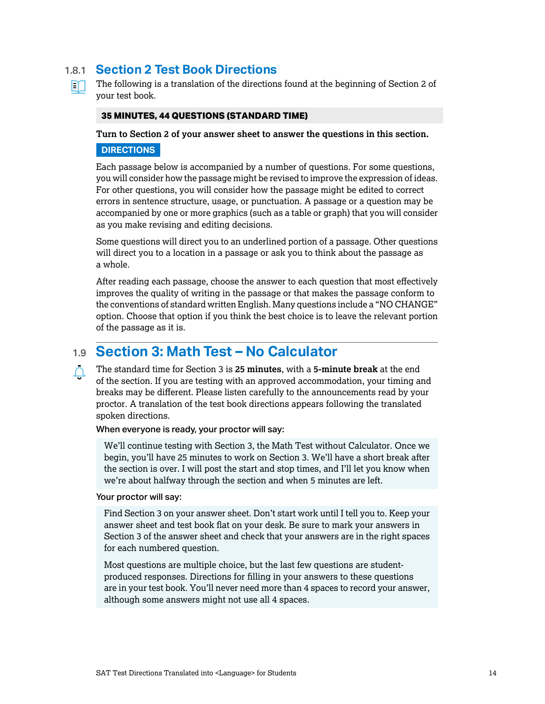### <span id="page-13-0"></span>1.8.1 **Section 2 Test Book Directions**

The following is a translation of the directions found at the beginning of Section 2 of m your test book.

#### **35 MINUTES, 44 QUESTIONS (STANDARD TIME)**

**Turn to Section 2 of your answer sheet to answer the questions in this section.**

#### **DIRECTIONS**

Each passage below is accompanied by a number of questions. For some questions, you will consider how the passage might be revised to improve the expression of ideas. For other questions, you will consider how the passage might be edited to correct errors in sentence structure, usage, or punctuation. A passage or a question may be accompanied by one or more graphics (such as a table or graph) that you will consider as you make revising and editing decisions.

Some questions will direct you to an underlined portion of a passage. Other questions will direct you to a location in a passage or ask you to think about the passage as a whole.

After reading each passage, choose the answer to each question that most effectively improves the quality of writing in the passage or that makes the passage conform to the conventions of standard written English. Many questions include a "NO CHANGE" option. Choose that option if you think the best choice is to leave the relevant portion of the passage as it is.

## 1.9 **Section 3: Math Test – No Calculator**

The standard time for Section 3 is **25 minutes**, with a **5-minute break** at the end  $\Delta$ of the section. If you are testing with an approved accommodation, your timing and breaks may be different. Please listen carefully to the announcements read by your proctor. A translation of the test book directions appears following the translated spoken directions.

#### When everyone is ready, your proctor will say:

We'll continue testing with Section 3, the Math Test without Calculator. Once we begin, you'll have 25 minutes to work on Section 3. We'll have a short break after the section is over. I will post the start and stop times, and I'll let you know when we're about halfway through the section and when 5 minutes are left.

#### Your proctor will say:

Find Section 3 on your answer sheet. Don't start work until I tell you to. Keep your answer sheet and test book flat on your desk. Be sure to mark your answers in Section 3 of the answer sheet and check that your answers are in the right spaces for each numbered question.

Most questions are multiple choice, but the last few questions are studentproduced responses. Directions for filling in your answers to these questions are in your test book. You'll never need more than 4 spaces to record your answer, although some answers might not use all 4 spaces.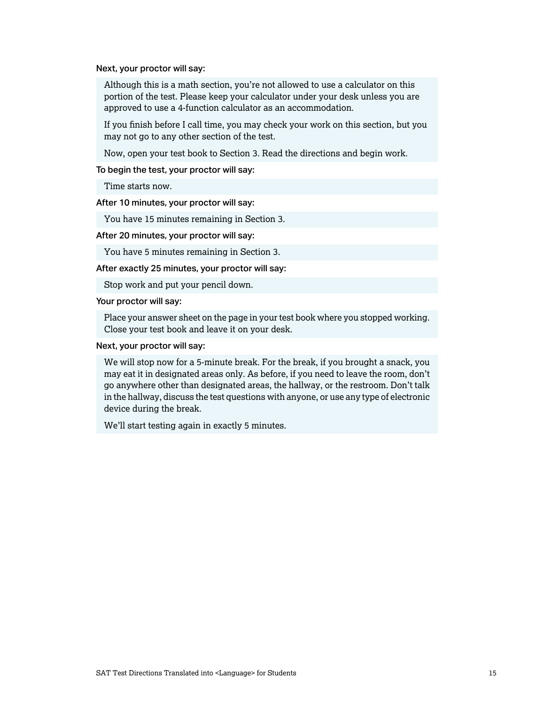Next, your proctor will say:

Although this is a math section, you're not allowed to use a calculator on this portion of the test. Please keep your calculator under your desk unless you are approved to use a 4-function calculator as an accommodation.

If you finish before I call time, you may check your work on this section, but you may not go to any other section of the test.

Now, open your test book to Section 3. Read the directions and begin work.

To begin the test, your proctor will say:

Time starts now.

After 10 minutes, your proctor will say:

You have 15 minutes remaining in Section 3.

After 20 minutes, your proctor will say:

You have 5 minutes remaining in Section 3.

After exactly 25 minutes, your proctor will say:

Stop work and put your pencil down.

Your proctor will say:

Place your answer sheet on the page in your test book where you stopped working. Close your test book and leave it on your desk.

Next, your proctor will say:

We will stop now for a 5-minute break. For the break, if you brought a snack, you may eat it in designated areas only. As before, if you need to leave the room, don't go anywhere other than designated areas, the hallway, or the restroom. Don't talk in the hallway, discuss the test questions with anyone, or use any type of electronic device during the break.

We'll start testing again in exactly 5 minutes.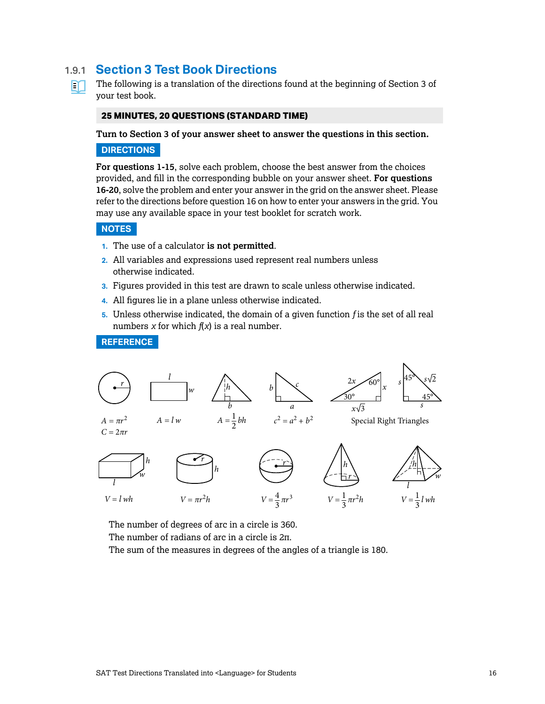### <span id="page-15-0"></span>1.9.1 **Section 3 Test Book Directions**

The following is a translation of the directions found at the beginning of Section 3 of m your test book.

#### **25 MINUTES, 20 QUESTIONS (STANDARD TIME)**

**Turn to Section 3 of your answer sheet to answer the questions in this section.**

#### **DIRECTIONS**

**For questions 1-15**, solve each problem, choose the best answer from the choices provided, and fill in the corresponding bubble on your answer sheet. **For questions 16-20**, solve the problem and enter your answer in the grid on the answer sheet. Please refer to the directions before question 16 on how to enter your answers in the grid. You may use any available space in your test booklet for scratch work.

#### **NOTES**

- **1.** The use of a calculator **is not permitted**.
- **2.** All variables and expressions used represent real numbers unless otherwise indicated.
- **3.** Figures provided in this test are drawn to scale unless otherwise indicated.
- **4.** All figures lie in a plane unless otherwise indicated.
- **5.** Unless otherwise indicated, the domain of a given function *f* is the set of all real numbers *x* for which  $f(x)$  is a real number.

#### **REFERENCE**



The number of degrees of arc in a circle is 360.

The number of radians of arc in a circle is 2π.

The sum of the measures in degrees of the angles of a triangle is 180.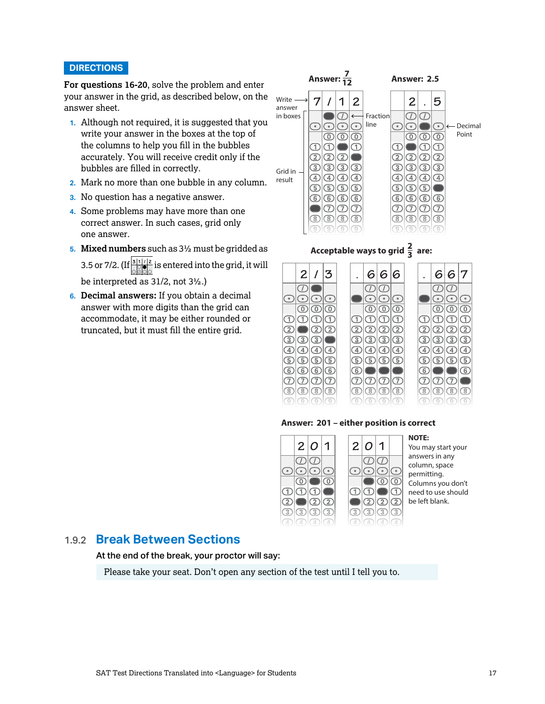#### <span id="page-16-0"></span>**DIRECTIONS**

**For questions 16-20**, solve the problem and enter your answer in the grid, as described below, on the answer sheet.

- **1.** Although not required, it is suggested that you write your answer in the boxes at the top of the columns to help you fill in the bubbles accurately. You will receive credit only if the bubbles are filled in correctly.
- **2.** Mark no more than one bubble in any column.
- **3.** No question has a negative answer.
- **4.** Some problems may have more than one correct answer. In such cases, grid only one answer.
- **5. Mixed numbers** such as 3½ must be gridded as 3.5 or 7/2. (If  $\frac{31/2}{\sqrt{2}}$  is entered into the grid, it will . . . . be interpreted as 31/2, not 3½.)
- **6. Decimal answers:** If you obtain a decimal answer with more digits than the grid can accommodate, it may be either rounded or truncated, but it must fill the entire grid.



# Acceptable ways to grid  $\frac{2}{3}$  are:



#### **Answer: 201 – either position is correct**



**NOTE:** You may start your answers in any column, space permitting. Columns you don't need to use should be left blank.

#### 1.9.2 **Break Between Sections**

At the end of the break, your proctor will say:

Please take your seat. Don't open any section of the test until I tell you to.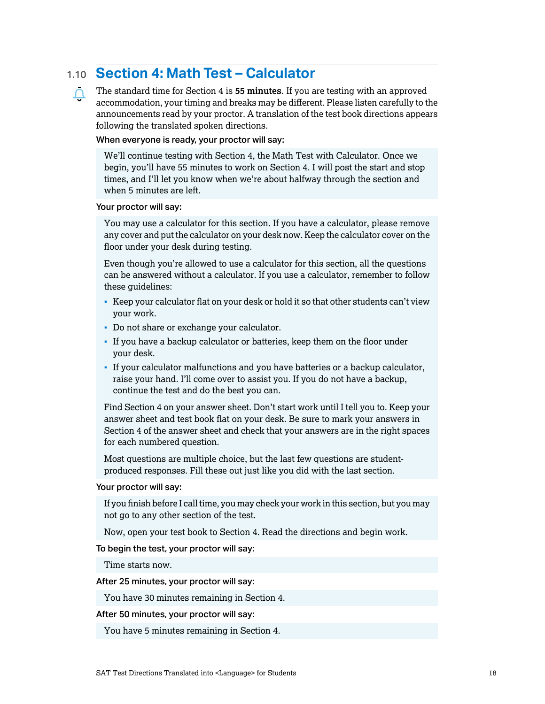# <span id="page-17-0"></span>1.10 **Section 4: Math Test – Calculator**

The standard time for Section 4 is **55 minutes**. If you are testing with an approved  $\Omega$ accommodation, your timing and breaks may be different. Please listen carefully to the announcements read by your proctor. A translation of the test book directions appears following the translated spoken directions.

#### When everyone is ready, your proctor will say:

We'll continue testing with Section 4, the Math Test with Calculator. Once we begin, you'll have 55 minutes to work on Section 4. I will post the start and stop times, and I'll let you know when we're about halfway through the section and when 5 minutes are left.

#### Your proctor will say:

You may use a calculator for this section. If you have a calculator, please remove any cover and put the calculator on your desk now. Keep the calculator cover on the floor under your desk during testing.

Even though you're allowed to use a calculator for this section, all the questions can be answered without a calculator. If you use a calculator, remember to follow these guidelines:

- Keep your calculator flat on your desk or hold it so that other students can't view your work.
- Do not share or exchange your calculator.
- If you have a backup calculator or batteries, keep them on the floor under your desk.
- If your calculator malfunctions and you have batteries or a backup calculator, raise your hand. I'll come over to assist you. If you do not have a backup, continue the test and do the best you can.

Find Section 4 on your answer sheet. Don't start work until I tell you to. Keep your answer sheet and test book flat on your desk. Be sure to mark your answers in Section 4 of the answer sheet and check that your answers are in the right spaces for each numbered question.

Most questions are multiple choice, but the last few questions are studentproduced responses. Fill these out just like you did with the last section.

#### Your proctor will say:

If you finish before I call time, you may check your work in this section, but you may not go to any other section of the test.

Now, open your test book to Section 4. Read the directions and begin work.

To begin the test, your proctor will say:

Time starts now.

After 25 minutes, your proctor will say:

You have 30 minutes remaining in Section 4.

#### After 50 minutes, your proctor will say:

You have 5 minutes remaining in Section 4.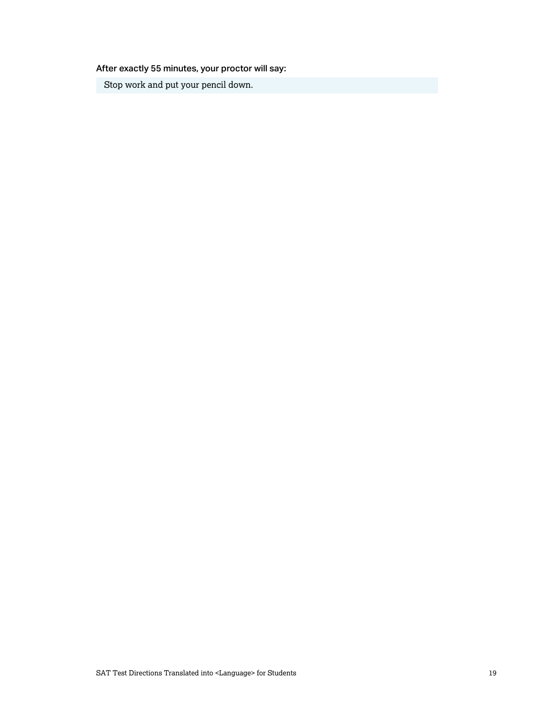After exactly 55 minutes, your proctor will say:

Stop work and put your pencil down.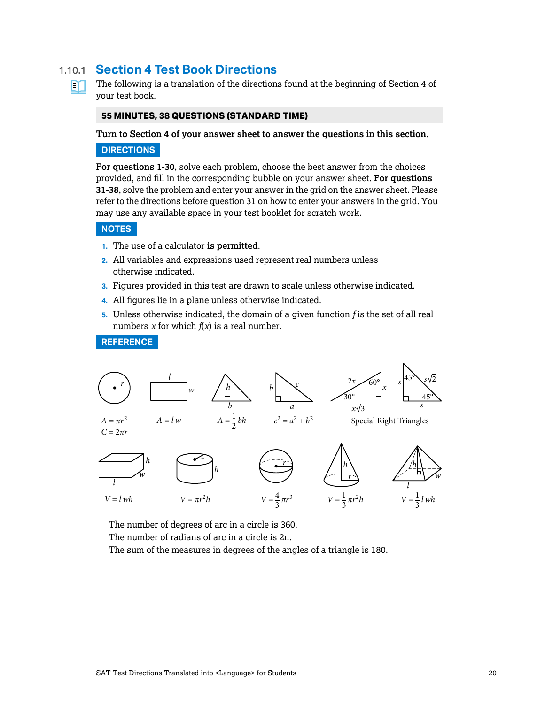### <span id="page-19-0"></span>1.10.1 **Section 4 Test Book Directions**



The following is a translation of the directions found at the beginning of Section 4 of your test book.

#### **55 MINUTES, 38 QUESTIONS (STANDARD TIME)**

**Turn to Section 4 of your answer sheet to answer the questions in this section.**

#### **DIRECTIONS**

**For questions 1-30**, solve each problem, choose the best answer from the choices provided, and fill in the corresponding bubble on your answer sheet. **For questions 31-38**, solve the problem and enter your answer in the grid on the answer sheet. Please refer to the directions before question 31 on how to enter your answers in the grid. You may use any available space in your test booklet for scratch work.

#### **NOTES**

- **1.** The use of a calculator **is permitted**.
- **2.** All variables and expressions used represent real numbers unless otherwise indicated.
- **3.** Figures provided in this test are drawn to scale unless otherwise indicated.
- **4.** All figures lie in a plane unless otherwise indicated.
- **5.** Unless otherwise indicated, the domain of a given function *f* is the set of all real numbers *x* for which  $f(x)$  is a real number.

#### **REFERENCE**



The number of degrees of arc in a circle is 360.

The number of radians of arc in a circle is 2π.

The sum of the measures in degrees of the angles of a triangle is 180.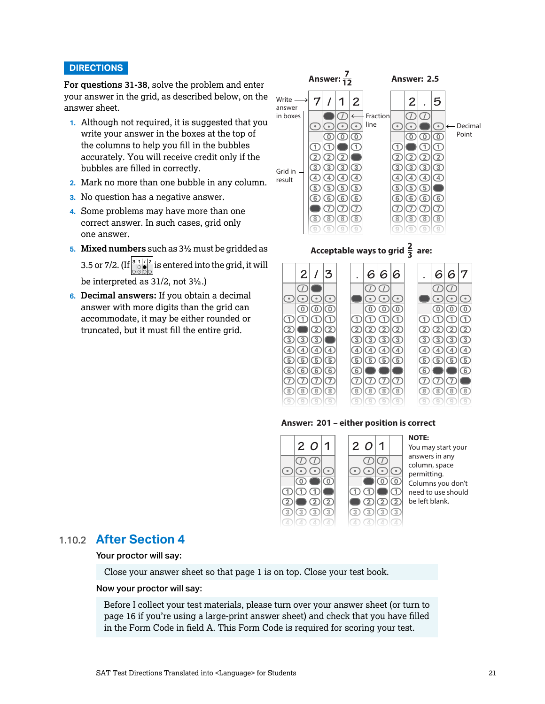#### <span id="page-20-0"></span>**DIRECTIONS**

**For questions 31-38**, solve the problem and enter your answer in the grid, as described below, on the answer sheet.

- **1.** Although not required, it is suggested that you write your answer in the boxes at the top of the columns to help you fill in the bubbles accurately. You will receive credit only if the bubbles are filled in correctly.
- **2.** Mark no more than one bubble in any column.
- **3.** No question has a negative answer.
- **4.** Some problems may have more than one correct answer. In such cases, grid only one answer.
- **5. Mixed numbers** such as 3½ must be gridded as 3.5 or 7/2. (If  $\frac{31/2}{\sqrt{2}}$  is entered into the grid, it will . . . . be interpreted as 31/2, not 3½.)
- **6. Decimal answers:** If you obtain a decimal answer with more digits than the grid can accommodate, it may be either rounded or truncated, but it must fill the entire grid.



# Acceptable ways to grid  $\frac{2}{3}$  are:



#### **Answer: 201 – either position is correct**



#### 1.10.2 **After Section 4**

#### Your proctor will say:

Close your answer sheet so that page 1 is on top. Close your test book.

#### Now your proctor will say:

Before I collect your test materials, please turn over your answer sheet (or turn to page 16 if you're using a large-print answer sheet) and check that you have filled in the Form Code in field A. This Form Code is required for scoring your test.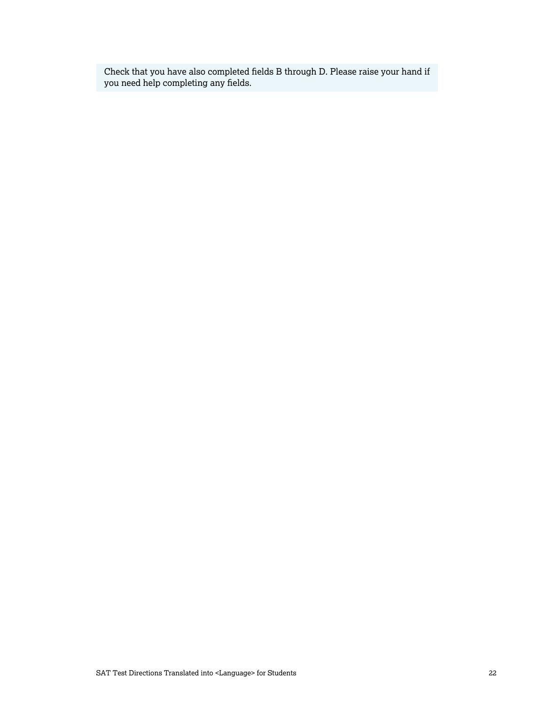Check that you have also completed fields B through D. Please raise your hand if you need help completing any fields.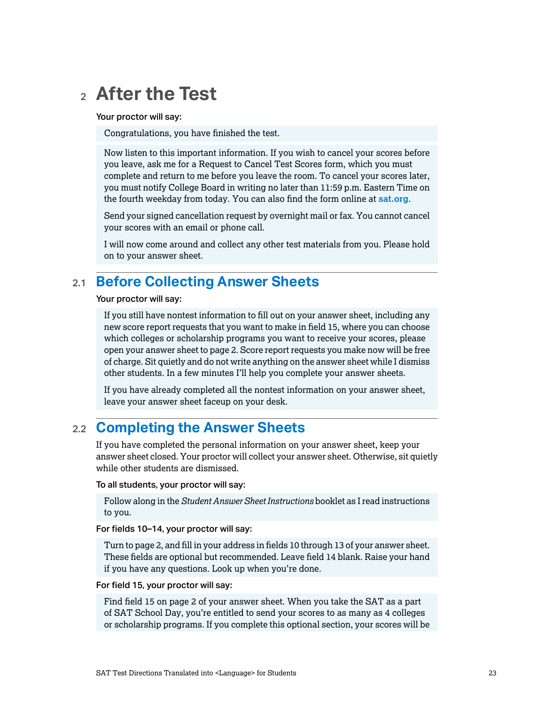# <span id="page-22-0"></span><sup>2</sup> **After the Test**

Your proctor will say:

Congratulations, you have finished the test.

Now listen to this important information. If you wish to cancel your scores before you leave, ask me for a Request to Cancel Test Scores form, which you must complete and return to me before you leave the room. To cancel your scores later, you must notify College Board in writing no later than 11:59 p.m. Eastern Time on the fourth weekday from today. You can also find the form online at **[sat.org](http://sat.org)**.

Send your signed cancellation request by overnight mail or fax. You cannot cancel your scores with an email or phone call.

I will now come around and collect any other test materials from you. Please hold on to your answer sheet.

# 2.1 **Before Collecting Answer Sheets**

Your proctor will say:

If you still have nontest information to fill out on your answer sheet, including any new score report requests that you want to make in field 15, where you can choose which colleges or scholarship programs you want to receive your scores, please open your answer sheet to page 2. Score report requests you make now will be free of charge. Sit quietly and do not write anything on the answer sheet while I dismiss other students. In a few minutes I'll help you complete your answer sheets.

If you have already completed all the nontest information on your answer sheet, leave your answer sheet faceup on your desk.

# 2.2 **Completing the Answer Sheets**

If you have completed the personal information on your answer sheet, keep your answer sheet closed. Your proctor will collect your answer sheet. Otherwise, sit quietly while other students are dismissed.

To all students, your proctor will say:

Follow along in the *Student Answer Sheet Instructions* booklet as I read instructions to you.

For fields 10–14, your proctor will say:

Turn to page 2, and fill in your address in fields 10 through 13 of your answer sheet. These fields are optional but recommended. Leave field 14 blank. Raise your hand if you have any questions. Look up when you're done.

#### For field 15, your proctor will say:

Find field 15 on page 2 of your answer sheet. When you take the SAT as a part of SAT School Day, you're entitled to send your scores to as many as 4 colleges or scholarship programs. If you complete this optional section, your scores will be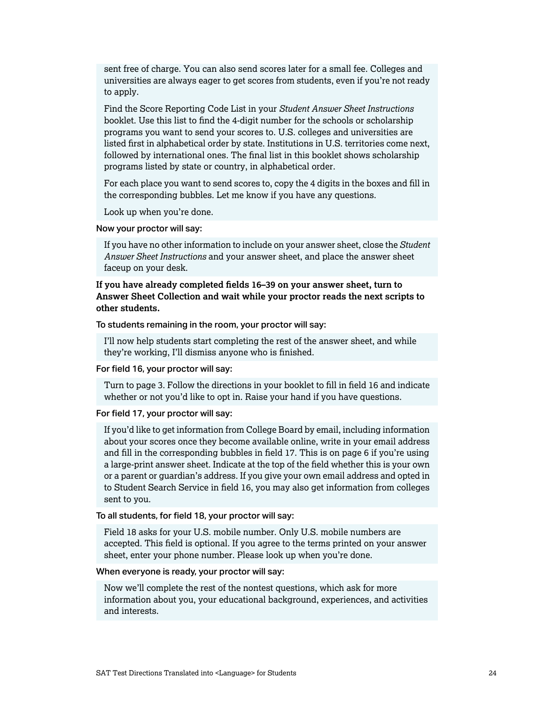sent free of charge. You can also send scores later for a small fee. Colleges and universities are always eager to get scores from students, even if you're not ready to apply.

Find the Score Reporting Code List in your *Student Answer Sheet Instructions*  booklet. Use this list to find the 4-digit number for the schools or scholarship programs you want to send your scores to. U.S. colleges and universities are listed first in alphabetical order by state. Institutions in U.S. territories come next, followed by international ones. The final list in this booklet shows scholarship programs listed by state or country, in alphabetical order.

For each place you want to send scores to, copy the 4 digits in the boxes and fill in the corresponding bubbles. Let me know if you have any questions.

Look up when you're done.

#### Now your proctor will say:

If you have no other information to include on your answer sheet, close the *Student Answer Sheet Instructions* and your answer sheet, and place the answer sheet faceup on your desk.

**If you have already completed fields 16–39 on your answer sheet, turn to Answer Sheet Collection and wait while your proctor reads the next scripts to other students.**

To students remaining in the room, your proctor will say:

I'll now help students start completing the rest of the answer sheet, and while they're working, I'll dismiss anyone who is finished.

For field 16, your proctor will say:

Turn to page 3. Follow the directions in your booklet to fill in field 16 and indicate whether or not you'd like to opt in. Raise your hand if you have questions.

For field 17, your proctor will say:

If you'd like to get information from College Board by email, including information about your scores once they become available online, write in your email address and fill in the corresponding bubbles in field 17. This is on page 6 if you're using a large-print answer sheet. Indicate at the top of the field whether this is your own or a parent or guardian's address. If you give your own email address and opted in to Student Search Service in field 16, you may also get information from colleges sent to you.

To all students, for field 18, your proctor will say:

Field 18 asks for your U.S. mobile number. Only U.S. mobile numbers are accepted. This field is optional. If you agree to the terms printed on your answer sheet, enter your phone number. Please look up when you're done.

When everyone is ready, your proctor will say:

Now we'll complete the rest of the nontest questions, which ask for more information about you, your educational background, experiences, and activities and interests.